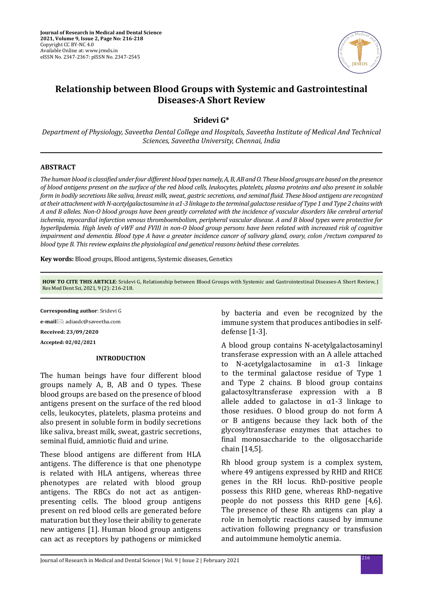

# **Relationship between Blood Groups with Systemic and Gastrointestinal Diseases-A Short Review**

**Sridevi G\***

*Department of Physiology, Saveetha Dental College and Hospitals, Saveetha Institute of Medical And Technical Sciences, Saveetha University, Chennai, India*

## **ABSTRACT**

*The human blood is classified under four different blood types namely, A, B, AB and O. These blood groups are based on the presence of blood antigens present on the surface of the red blood cells, leukocytes, platelets, plasma proteins and also present in soluble form in bodily secretions like saliva, breast milk, sweat, gastric secretions, and seminal fluid. These blood antigens are recognized at their attachment with N-acetylgalactosamine in α1-3 linkage to the terminal galactose residue of Type 1 and Type 2 chains with A and B alleles. Non-O blood groups have been greatly correlated with the incidence of vascular disorders like cerebral arterial ischemia, myocardial infarction venous thromboembolism, peripheral vascular disease. A and B blood types were protective for hyperlipdemia. High levels of vWF and FVIII in non-O blood group persons have been related with increased risk of cognitive impairment and dementia. Blood type A have a greater incidence cancer of salivary gland, ovary, colon /rectum compared to blood type B. This review explains the physiological and genetical reasons behind these correlates.*

**Key words:** Blood groups, Blood antigens, Systemic diseases, Genetics

**HOW TO CITE THIS ARTICLE**: Sridevi G, Relationship between Blood Groups with Systemic and Gastrointestinal Diseases-A Short Review, J Res Med Dent Sci, 2021, 9 (2): 216-218.

**Corresponding author**: Sridevi G **e-mail**⊠: adiasdc@saveetha.com **Received: 23/09/2020 Accepted: 02/02/2021**

### **INTRODUCTION**

The human beings have four different blood groups namely A, B, AB and O types. These blood groups are based on the presence of blood antigens present on the surface of the red blood cells, leukocytes, platelets, plasma proteins and also present in soluble form in bodily secretions like saliva, breast milk, sweat, gastric secretions, seminal fluid, amniotic fluid and urine.

These blood antigens are different from HLA antigens. The difference is that one phenotype is related with HLA antigens, whereas three phenotypes are related with blood group antigens. The RBCs do not act as antigenpresenting cells. The blood group antigens present on red blood cells are generated before maturation but they lose their ability to generate new antigens [1]. Human blood group antigens can act as receptors by pathogens or mimicked by bacteria and even be recognized by the immune system that produces antibodies in selfdefense [1-3].

A blood group contains N-acetylgalactosaminyl transferase expression with an A allele attached<br>to N-acetylgalactosamine in  $\alpha$ 1-3 linkage N-acetylgalactosamine in  $\alpha$ 1-3 linkage to the terminal galactose residue of Type 1 and Type 2 chains. B blood group contains galactosyltransferase expression with a B allele added to galactose in  $\alpha$ 1-3 linkage to those residues. O blood group do not form A or B antigens because they lack both of the glycosyltransferase enzymes that attaches to final monosaccharide to the oligosaccharide chain [14,5].

Rh blood group system is a complex system, where 49 antigens expressed by RHD and RHCE genes in the RH locus. RhD-positive people possess this RHD gene, whereas RhD-negative people do not possess this RHD gene [4,6]. The presence of these Rh antigens can play a role in hemolytic reactions caused by immune activation following pregnancy or transfusion and autoimmune hemolytic anemia.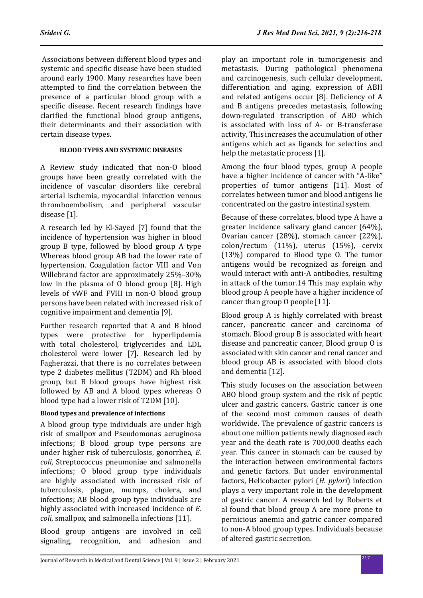Associations between different blood types and systemic and specific disease have been studied around early 1900. Many researches have been attempted to find the correlation between the presence of a particular blood group with a specific disease. Recent research findings have clarified the functional blood group antigens, their determinants and their association with certain disease types.

# **BLOOD TYPES AND SYSTEMIC DISEASES**

A Review study indicated that non-O blood groups have been greatly correlated with the incidence of vascular disorders like cerebral arterial ischemia, myocardial infarction venous thromboembolism, and peripheral vascular disease [1].

A research led by El-Sayed [7] found that the incidence of hypertension was higher in blood group B type, followed by blood group A type Whereas blood group AB had the lower rate of hypertension. Coagulation factor VIII and Von Willebrand factor are approximately 25%–30% low in the plasma of O blood group [8]. High levels of vWF and FVIII in non-O blood group persons have been related with increased risk of cognitive impairment and dementia [9].

Further research reported that A and B blood types were protective for hyperlipdemia with total cholesterol, triglycerides and LDL cholesterol were lower [7]. Research led by Fagherazzi, that there is no correlates between type 2 diabetes mellitus (T2DM) and Rh blood group, but B blood groups have highest risk followed by AB and A blood types whereas O blood type had a lower risk of T2DM [10].

# **Blood types and prevalence of infections**

A blood group type individuals are under high risk of smallpox and Pseudomonas aeruginosa infections; B blood group type persons are under higher risk of tuberculosis, gonorrhea, *E. coli*, Streptococcus pneumoniae and salmonella infections; O blood group type individuals are highly associated with increased risk of tuberculosis, plague, mumps, cholera, and infections; AB blood group type individuals are highly associated with increased incidence of *E. coli*, smallpox, and salmonella infections [11].

Blood group antigens are involved in cell signaling, recognition, and adhesion and play an important role in tumorigenesis and metastasis. During pathological phenomena and carcinogenesis, such cellular development, differentiation and aging, expression of ABH and related antigens occur [8]. Deficiency of A and B antigens precedes metastasis, following down-regulated transcription of ABO which is associated with loss of A- or B-transferase activity, This increases the accumulation of other antigens which act as ligands for selectins and help the metastatic process [1].

Among the four blood types, group A people have a higher incidence of cancer with "A-like" properties of tumor antigens [11]. Most of correlates between tumor and blood antigens lie concentrated on the gastro intestinal system.

Because of these correlates, blood type A have a greater incidence salivary gland cancer (64%), Ovarian cancer (28%), stomach cancer (22%), colon/rectum (11%), uterus (15%), cervix (13%) compared to Blood type O. The tumor antigens would be recognized as foreign and would interact with anti-A antibodies, resulting in attack of the tumor.14 This may explain why blood group A people have a higher incidence of cancer than group O people [11].

Blood group A is highly correlated with breast cancer, pancreatic cancer and carcinoma of stomach. Blood group B is associated with heart disease and pancreatic cancer, Blood group O is associated with skin cancer and renal cancer and blood group AB is associated with blood clots and dementia [12].

This study focuses on the association between ABO blood group system and the risk of peptic ulcer and gastric cancers. Gastric cancer is one of the second most common causes of death worldwide. The prevalence of gastric cancers is about one million patients newly diagnosed each year and the death rate is 700,000 deaths each year. This cancer in stomach can be caused by the interaction between environmental factors and genetic factors. But under environmental factors, Helicobacter pylori (*H. pylori*) infection plays a very important role in the development of gastric cancer. A research led by Roberts et al found that blood group A are more prone to pernicious anemia and gatric cancer compared to non-A blood group types. Individuals because of altered gastric secretion.